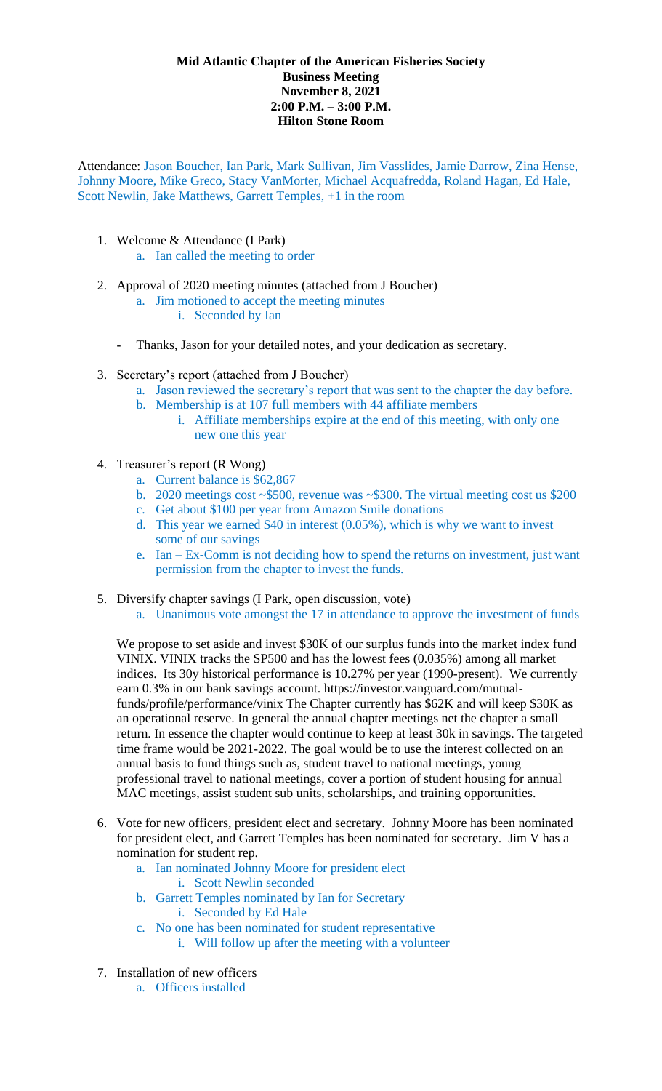## **Mid Atlantic Chapter of the American Fisheries Society Business Meeting November 8, 2021 2:00 P.M. – 3:00 P.M. Hilton Stone Room**

Attendance: Jason Boucher, Ian Park, Mark Sullivan, Jim Vasslides, Jamie Darrow, Zina Hense, Johnny Moore, Mike Greco, Stacy VanMorter, Michael Acquafredda, Roland Hagan, Ed Hale, Scott Newlin, Jake Matthews, Garrett Temples, +1 in the room

- 1. Welcome & Attendance (I Park)
	- a. Ian called the meeting to order
- 2. Approval of 2020 meeting minutes (attached from J Boucher)
	- a. Jim motioned to accept the meeting minutes
		- i. Seconded by Ian
	- Thanks, Jason for your detailed notes, and your dedication as secretary.
- 3. Secretary's report (attached from J Boucher)
	- a. Jason reviewed the secretary's report that was sent to the chapter the day before.
	- b. Membership is at 107 full members with 44 affiliate members
		- i. Affiliate memberships expire at the end of this meeting, with only one new one this year
- 4. Treasurer's report (R Wong)
	- a. Current balance is \$62,867
	- b. 2020 meetings cost ~\$500, revenue was ~\$300. The virtual meeting cost us \$200
	- c. Get about \$100 per year from Amazon Smile donations
	- d. This year we earned \$40 in interest (0.05%), which is why we want to invest some of our savings
	- e. Ian Ex-Comm is not deciding how to spend the returns on investment, just want permission from the chapter to invest the funds.
- 5. Diversify chapter savings (I Park, open discussion, vote)
	- a. Unanimous vote amongst the 17 in attendance to approve the investment of funds

We propose to set aside and invest \$30K of our surplus funds into the market index fund VINIX. VINIX tracks the SP500 and has the lowest fees (0.035%) among all market indices. Its 30y historical performance is 10.27% per year (1990-present). We currently earn 0.3% in our bank savings account. https://investor.vanguard.com/mutualfunds/profile/performance/vinix The Chapter currently has \$62K and will keep \$30K as an operational reserve. In general the annual chapter meetings net the chapter a small return. In essence the chapter would continue to keep at least 30k in savings. The targeted time frame would be 2021-2022. The goal would be to use the interest collected on an annual basis to fund things such as, student travel to national meetings, young professional travel to national meetings, cover a portion of student housing for annual MAC meetings, assist student sub units, scholarships, and training opportunities.

- 6. Vote for new officers, president elect and secretary. Johnny Moore has been nominated for president elect, and Garrett Temples has been nominated for secretary. Jim V has a nomination for student rep.
	- a. Ian nominated Johnny Moore for president elect i. Scott Newlin seconded
	- b. Garrett Temples nominated by Ian for Secretary i. Seconded by Ed Hale
	- c. No one has been nominated for student representative
		- i. Will follow up after the meeting with a volunteer
- 7. Installation of new officers
	- a. Officers installed